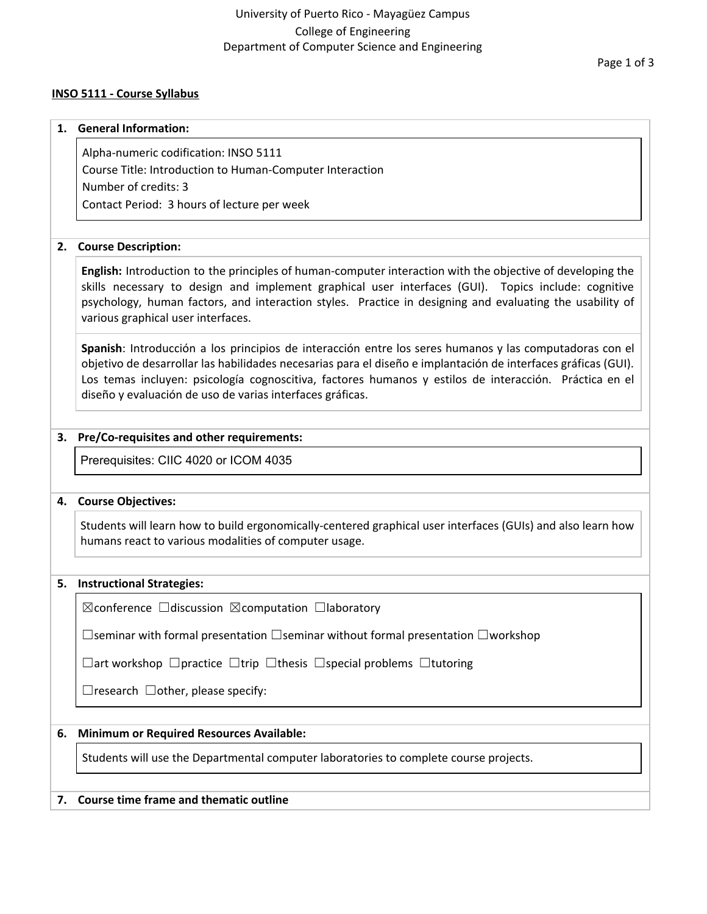#### **INSO 5111 - Course Syllabus**

# **1. General Information:** Alpha-numeric codification: INSO 5111 Course Title: Introduction to Human-Computer Interaction Number of credits: 3

Contact Period: 3 hours of lecture per week

### **2. Course Description:**

**English:** Introduction to the principles of human-computer interaction with the objective of developing the skills necessary to design and implement graphical user interfaces (GUI). Topics include: cognitive psychology, human factors, and interaction styles. Practice in designing and evaluating the usability of various graphical user interfaces.

**Spanish**: Introducción a los principios de interacción entre los seres humanos y las computadoras con el objetivo de desarrollar las habilidades necesarias para el diseño e implantación de interfaces gráficas (GUI). Los temas incluyen: psicología cognoscitiva, factores humanos y estilos de interacción. Práctica en el diseño y evaluación de uso de varias interfaces gráficas.

### **3. Pre/Co-requisites and other requirements:**

Prerequisites: CIIC 4020 or ICOM 4035

### **4. Course Objectives:**

Students will learn how to build ergonomically-centered graphical user interfaces (GUIs) and also learn how humans react to various modalities of computer usage.

# **5. Instructional Strategies:**

☒conference ☐discussion ☒computation ☐laboratory

☐seminar with formal presentation ☐seminar without formal presentation ☐workshop

☐art workshop ☐practice ☐trip ☐thesis ☐special problems ☐tutoring

 $\Box$ research  $\Box$ other, please specify:

# **6. Minimum or Required Resources Available:**

Students will use the Departmental computer laboratories to complete course projects.

### **7. Course time frame and thematic outline**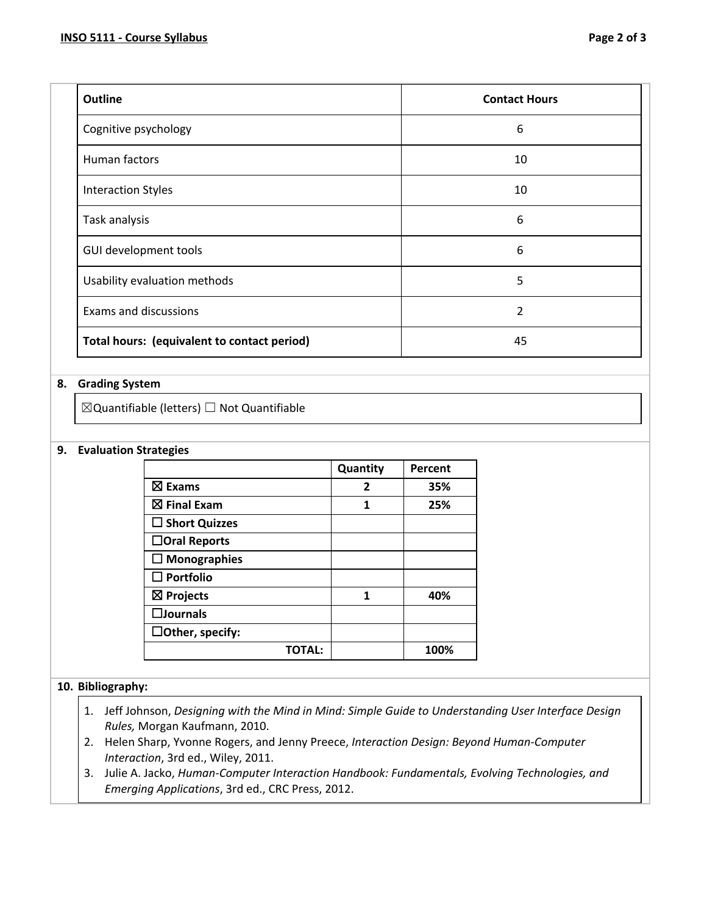| <b>Outline</b>                              | <b>Contact Hours</b> |
|---------------------------------------------|----------------------|
| Cognitive psychology                        | 6                    |
| Human factors                               | 10                   |
| <b>Interaction Styles</b>                   | 10                   |
| Task analysis                               | 6                    |
| GUI development tools                       | 6                    |
| Usability evaluation methods                | 5                    |
| Exams and discussions                       | 2                    |
| Total hours: (equivalent to contact period) | 45                   |

### **8. Grading System**

☒Quantifiable (letters) ☐ Not Quantifiable

#### **9. Evaluation Strategies**

|                         | Quantity | Percent |
|-------------------------|----------|---------|
| $\boxtimes$ Exams       | 2        | 35%     |
| $\boxtimes$ Final Exam  | 1        | 25%     |
| $\square$ Short Quizzes |          |         |
| $\Box$ Oral Reports     |          |         |
| $\Box$ Monographies     |          |         |
| $\Box$ Portfolio        |          |         |
| $\boxtimes$ Projects    | 1        | 40%     |
| $\square$ Journals      |          |         |
| $\Box$ Other, specify:  |          |         |
| TOTAL:                  |          | 100%    |

### **10. Bibliography:**

- 1. Jeff Johnson, *Designing with the Mind in Mind: Simple Guide to Understanding User Interface Design Rules,* Morgan Kaufmann, 2010.
- 2. Helen Sharp, Yvonne Rogers, and Jenny Preece, *Interaction Design: Beyond Human-Computer Interaction*, 3rd ed., Wiley, 2011.
- 3. Julie A. Jacko, *Human-Computer Interaction Handbook: Fundamentals, Evolving Technologies, and Emerging Applications*, 3rd ed., CRC Press, 2012.